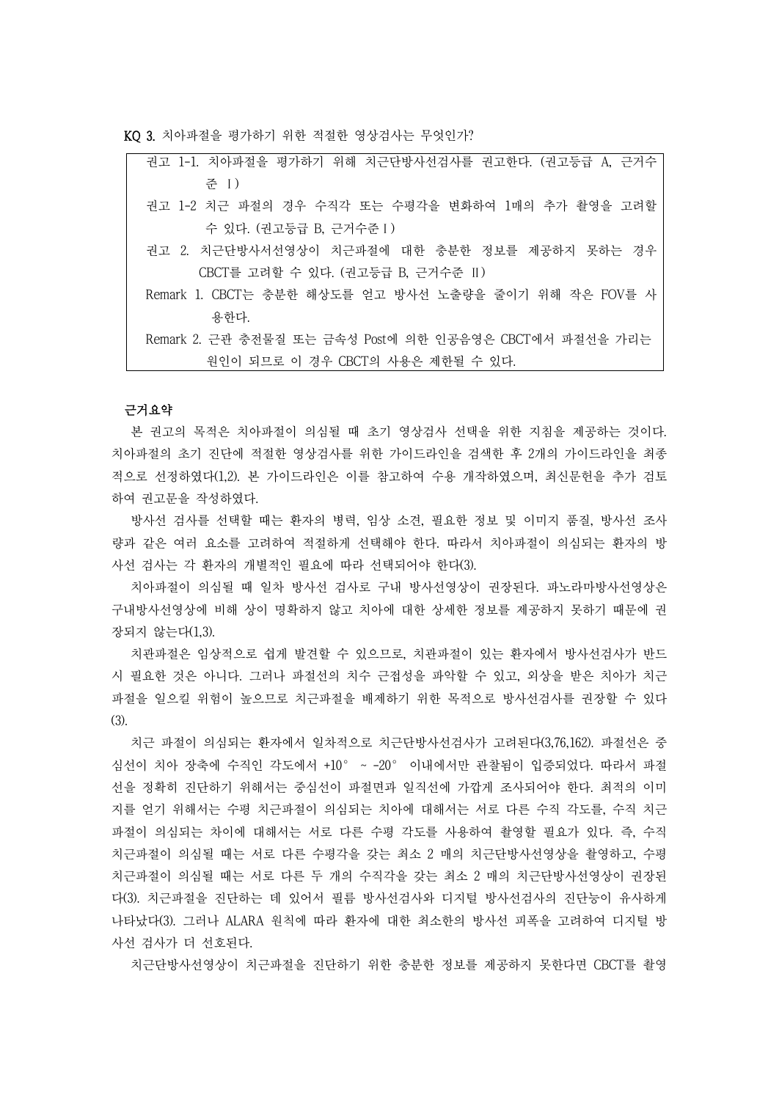KQ 3. 치아파절을 평가하기 위한 적절한 영상검사는 무엇인가?

| 권고 1-1. 치아파절을 평가하기 위해 치근단방사선검사를 권고한다. (권고등급 A, 근거수      |
|---------------------------------------------------------|
| 주 I)                                                    |
| 권고 1-2 치근 파절의 경우 수직각 또는 수평각을 변화하여 1매의 추가 촬영을 고려할        |
| 수 있다. (권고등급 B, 근거수준 I)                                  |
| 권고 2. 치근단방사서선영상이 치근파절에 대한 충분한 정보를 제공하지 못하는 경우           |
| CBCT를 고려할 수 있다. (권고등급 B, 근거수준 II)                       |
| Remark 1. CBCT는 충분한 해상도를 얻고 방사선 노출량을 줄이기 위해 작은 FOV를 사   |
| 용한다.                                                    |
| Remark 2. 근관 충전물질 또는 금속성 Post에 의한 인공음영은 CBCT에서 파절선을 가리는 |
| 원인이 되므로 이 경우 CBCT의 사용은 제한될 수 있다.                        |

### 근거요약

본 권고의 목적은 치아파절이 의심될 때 초기 영상검사 선택을 위한 지침을 제공하는 것이다. 치아파절의 초기 진단에 적절한 영상검사를 위한 가이드라인을 검색한 후 2개의 가이드라인을 최종 적으로 선정하였다(1,2). 본 가이드라인은 이를 참고하여 수용 개작하였으며, 최신문헌을 추가 검토 하여 권고문을 작성하였다.<br>-<br>방사선 검사를 선택할 때는 환자의 병력, 임상 소견, 필요한 정보 및 이미지 품질, 방사선 조사

량과 같은 여러 요소를 고려하여 적절하게 선택해야 한다. 따라서 치아파절이 의심되는 환자의 방 사선 검사는 각 환자의 개별적인 필요에 따라 선택되어야 한다(3).

치아파절이 의심될 때 일차 방사선 검사로 구내 방사선영상이 권장된다. 파노라마방사선영상은 구내방사선영상에 비해 상이 명확하지 않고 치아에 대한 상세한 정보를 제공하지 못하기 때문에 권 장되지 않는다(1,3).

치관파절은 임상적으로 쉽게 발견할 수 있으므로, 치관파절이 있는 환자에서 방사선검사가 반드 시 필요한 것은 아니다. 그러나 파절선의 치수 근접성을 파악할 수 있고, 외상을 받은 치아가 치근 파절을 일으킬 위험이 높으므로 치근파절을 배제하기 위한 목적으로 방사선검사를 권장할 수 있다 (3).

치근 파절이 의심되는 환자에서 일차적으로 치근단방사선검사가 고려된다(3,76,162). 파절선은 중 심선이 치아 장축에 수직인 각도에서 +10° ~ -20° 이내에서만 관찰됨이 입증되었다. 따라서 파절 선을 정확히 진단하기 위해서는 중심선이 파절면과 일직선에 가깝게 조사되어야 한다. 최적의 이미 지를 얻기 위해서는 수평 치근파절이 의심되는 치아에 대해서는 서로 다른 수직 각도를, 수직 치근 파절이 의심되는 차이에 대해서는 서로 다른 수평 각도를 사용하여 촬영할 필요가 있다. 즉, 수직 치근파절이 의심될 때는 서로 다른 수평각을 갖는 최소 2 매의 치근단방사선영상을 촬영하고, 수평 치근파절이 의심될 때는 서로 다른 두 개의 수직각을 갖는 최소 2 매의 치근단방사선영상이 권장된 다(3). 치근파절을 진단하는 데 있어서 필름 방사선검사와 디지털 방사선검사의 진단능이 유사하게 나타났다(3). 그러나 ALARA 원칙에 따라 환자에 대한 최소한의 방사선 피폭을 고려하여 디지털 방 사선 검사가 더 선호된다.<br>-<br>치근단방사선영상이 치근파절을 진단하기 위한 충분한 정보를 제공하지 못한다면 CBCT를 촬영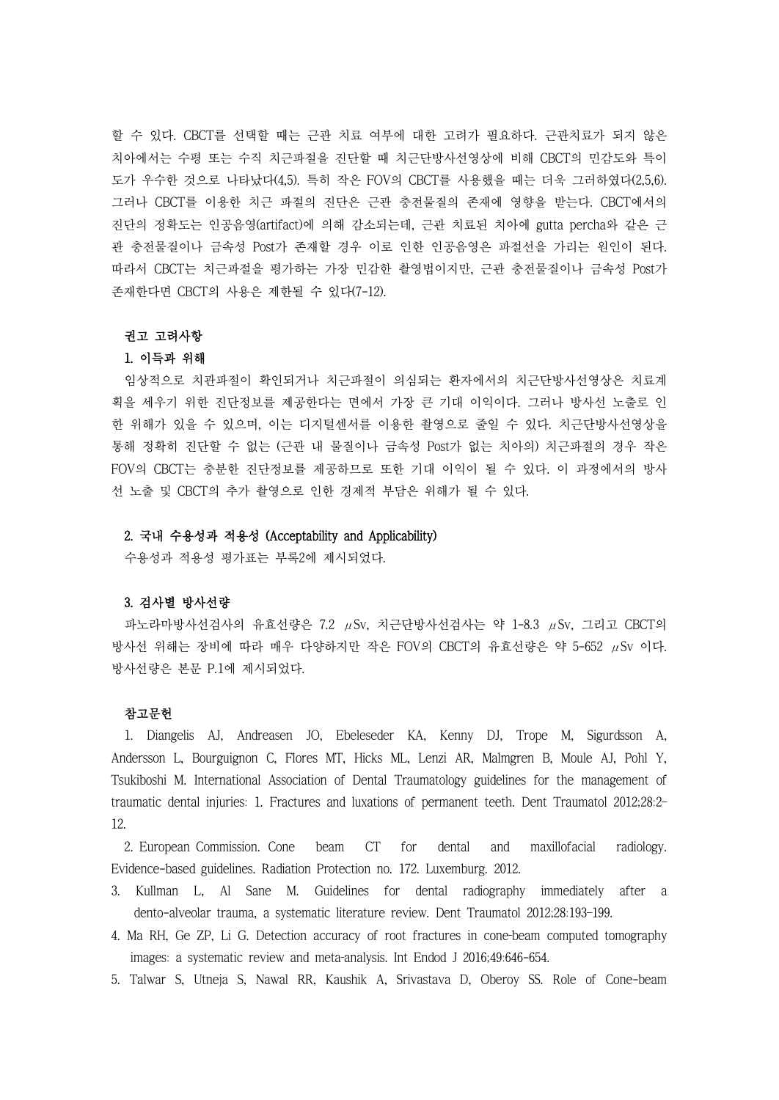할 수 있다. CBCT를 선택할 때는 근관 치료 여부에 대한 고려가 필요하다. 근관치료가 되지 않은 치아에서는 수평 또는 수직 치근파절을 진단할 때 치근단방사선영상에 비해 CBCT의 민감도와 특이 도가 우수한 것으로 나타났다(4,5). 특히 작은 FOV의 CBCT를 사용했을 때는 더욱 그러하였다(2,5,6). 그러나 CBCT를 이용한 치근 파절의 진단은 근관 충전물질의 존재에 영향을 받는다. CBCT에서의 진단의 정확도는 인공음영(artifact)에 의해 감소되는데, 근관 치료된 치아에 gutta percha와 같은 근 관 충전물질이나 금속성 Post가 존재할 경우 이로 인한 인공음영은 파절선을 가리는 원인이 된다.<br>따라서 CBCT는 치근파절을 평가하는 가장 민감한 촬영법이지만, 근관 충전물질이나 금속성 Post가 존재한다면 CBCT의 사용은 제한될 수 있다(7-12).

#### 권고 고려사항

### 1. 이득과 위해

임상적으로 치관파절이 확인되거나 치근파절이 의심되는 환자에서의 치근단방사선영상은 치료계 획을 세우기 위한 진단정보를 제공한다는 면에서 가장 큰 기대 이익이다. 그러나 방사선 노출로 인 한 위해가 있을 수 있으며, 이는 디지털센서를 이용한 촬영으로 줄일 수 있다. 치근단방사선영상을 통해 정확히 진단할 수 없는 (근관 내 물질이나 금속성 Post가 없는 치아의) 치근파절의 경우 작은 FOV의 CBCT는 충분한 진단정보를 제공하므로 또한 기대 이익이 될 수 있다. 이 과정에서의 방사 선 노출 및 CBCT의 추가 촬영으로 인한 경제적 부담은 위해가 될 수 있다.

## 2. 국내 수용성과 적용성 (Acceptability and Applicability)

수용성과 적용성 평가표는 부록2에 제시되었다.

# 3. 검사별 방사선량

파노라마방사선검사의 유효선량은 7.2 μSv, 치근단방사선검사는 약 1-8.3 μSv, 그리고 CBCT의 방사선 위해는 장비에 따라 매우 다양하지만 작은 FOV의 CBCT의 유효선량은 약 5-652 μSv 이다.<br>방사선량은 본문 P.1에 제시되었다.

# 참고문헌

1. Diangelis AJ, Andreasen JO, Ebeleseder KA, Kenny DJ, Trope M, Sigurdsson A, Andersson L, Bourguignon C, Flores MT, Hicks ML, Lenzi AR, Malmgren B, Moule AJ, Pohl Y, Tsukiboshi M. International Association of Dental Traumatology guidelines for the management of traumatic dental injuries: 1. Fractures and luxations of permanent teeth. Dent Traumatol 2012;28:2– 12.

2. European Commission. Cone beam CT for dental and maxillofacial radiology. Evidence-based guidelines. Radiation Protection no. 172. Luxemburg. 2012.

- 3. Kullman L, Al Sane M. Guidelines for dental radiography immediately after a dento-alveolar trauma, a systematic literature review. Dent Traumatol 2012;28:193–199.
- 4. Ma RH, Ge ZP, Li G. Detection accuracy of root fractures in cone-beam computed tomography images: a systematic review and meta-analysis. Int Endod J 2016;49:646-654.
- 5. Talwar S, Utneja S, Nawal RR, Kaushik A, Srivastava D, Oberoy SS. Role of Cone-beam